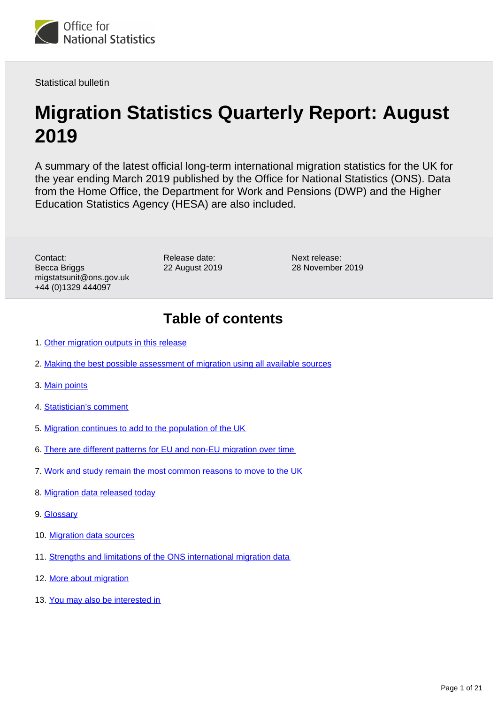<span id="page-0-0"></span>

Statistical bulletin

# **Migration Statistics Quarterly Report: August 2019**

A summary of the latest official long-term international migration statistics for the UK for the year ending March 2019 published by the Office for National Statistics (ONS). Data from the Home Office, the Department for Work and Pensions (DWP) and the Higher Education Statistics Agency (HESA) are also included.

Contact: Becca Briggs migstatsunit@ons.gov.uk +44 (0)1329 444097

Release date: 22 August 2019

Next release: 28 November 2019

## **Table of contents**

- 1. [Other migration outputs in this release](#page-1-0)
- 2. [Making the best possible assessment of migration using all available sources](#page-1-1)
- 3. [Main points](#page-2-0)
- 4. [Statistician's comment](#page-2-1)
- 5. [Migration continues to add to the population of the UK](#page-3-0)
- 6. [There are different patterns for EU and non-EU migration over time](#page-3-1)
- 7. [Work and study remain the most common reasons to move to the UK](#page-5-0)
- 8. [Migration data released today](#page-13-0)
- 9. [Glossary](#page-14-0)
- 10. [Migration data sources](#page-15-0)
- 11. [Strengths and limitations of the ONS international migration data](#page-16-0)
- 12. [More about migration](#page-19-0)
- 13. [You may also be interested in](#page-20-0)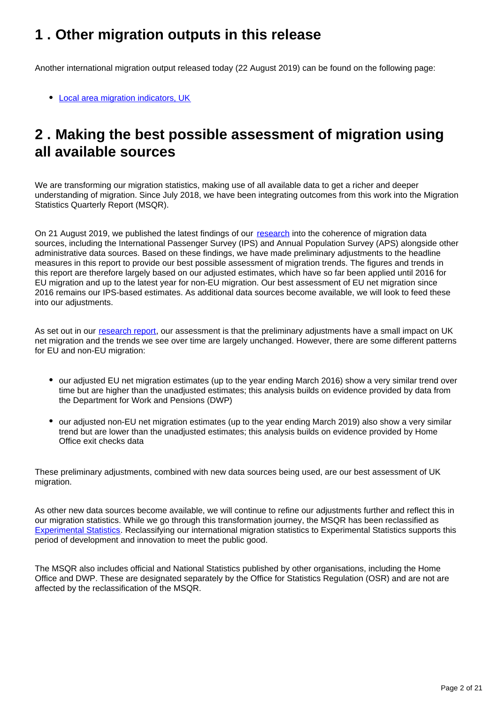## <span id="page-1-0"></span>**1 . Other migration outputs in this release**

Another international migration output released today (22 August 2019) can be found on the following page:

[Local area migration indicators, UK](https://www.ons.gov.uk/peoplepopulationandcommunity/populationandmigration/migrationwithintheuk/datasets/localareamigrationindicatorsunitedkingdom)

## <span id="page-1-1"></span>**2 . Making the best possible assessment of migration using all available sources**

We are transforming our migration statistics, making use of all available data to get a richer and deeper understanding of migration. Since July 2018, we have been integrating outcomes from this work into the Migration Statistics Quarterly Report (MSQR).

On 21 August 2019, we published the latest findings of our [research](https://www.ons.gov.uk/peoplepopulationandcommunity/populationandmigration/internationalmigration/articles/understandingdifferentmigrationdatasources/augustprogressreport) into the coherence of migration data sources, including the International Passenger Survey (IPS) and Annual Population Survey (APS) alongside other administrative data sources. Based on these findings, we have made preliminary adjustments to the headline measures in this report to provide our best possible assessment of migration trends. The figures and trends in this report are therefore largely based on our adjusted estimates, which have so far been applied until 2016 for EU migration and up to the latest year for non-EU migration. Our best assessment of EU net migration since 2016 remains our IPS-based estimates. As additional data sources become available, we will look to feed these into our adjustments.

As set out in our [research report,](https://www.ons.gov.uk/peoplepopulationandcommunity/populationandmigration/internationalmigration/articles/understandingdifferentmigrationdatasources/augustprogressreport) our assessment is that the preliminary adjustments have a small impact on UK net migration and the trends we see over time are largely unchanged. However, there are some different patterns for EU and non-EU migration:

- our adjusted EU net migration estimates (up to the year ending March 2016) show a very similar trend over time but are higher than the unadjusted estimates; this analysis builds on evidence provided by data from the Department for Work and Pensions (DWP)
- our adjusted non-EU net migration estimates (up to the year ending March 2019) also show a very similar trend but are lower than the unadjusted estimates; this analysis builds on evidence provided by Home Office exit checks data

These preliminary adjustments, combined with new data sources being used, are our best assessment of UK migration.

As other new data sources become available, we will continue to refine our adjustments further and reflect this in our migration statistics. While we go through this transformation journey, the MSQR has been reclassified as [Experimental Statistics](https://www.ons.gov.uk/news/statementsandletters/statementfromtheonsonthereclassificationofinternationalmigrationstatistics). Reclassifying our international migration statistics to Experimental Statistics supports this period of development and innovation to meet the public good.

The MSQR also includes official and National Statistics published by other organisations, including the Home Office and DWP. These are designated separately by the Office for Statistics Regulation (OSR) and are not are affected by the reclassification of the MSQR.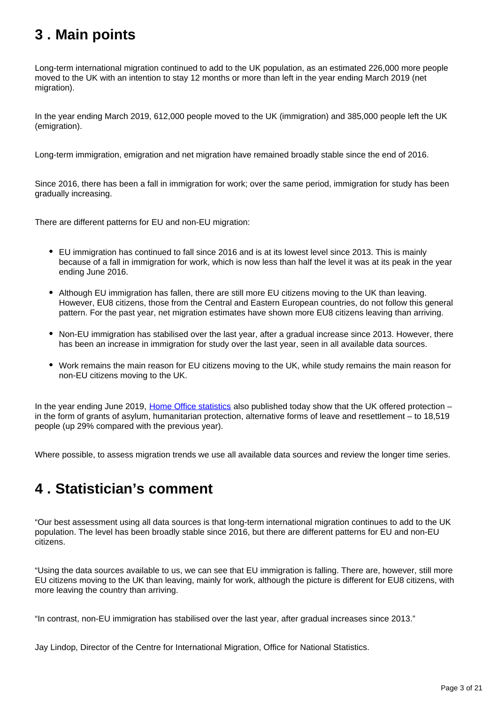## <span id="page-2-0"></span>**3 . Main points**

Long-term international migration continued to add to the UK population, as an estimated 226,000 more people moved to the UK with an intention to stay 12 months or more than left in the year ending March 2019 (net migration).

In the year ending March 2019, 612,000 people moved to the UK (immigration) and 385,000 people left the UK (emigration).

Long-term immigration, emigration and net migration have remained broadly stable since the end of 2016.

Since 2016, there has been a fall in immigration for work; over the same period, immigration for study has been gradually increasing.

There are different patterns for EU and non-EU migration:

- EU immigration has continued to fall since 2016 and is at its lowest level since 2013. This is mainly because of a fall in immigration for work, which is now less than half the level it was at its peak in the year ending June 2016.
- Although EU immigration has fallen, there are still more EU citizens moving to the UK than leaving. However, EU8 citizens, those from the Central and Eastern European countries, do not follow this general pattern. For the past year, net migration estimates have shown more EU8 citizens leaving than arriving.
- Non-EU immigration has stabilised over the last year, after a gradual increase since 2013. However, there has been an increase in immigration for study over the last year, seen in all available data sources.
- Work remains the main reason for EU citizens moving to the UK, while study remains the main reason for non-EU citizens moving to the UK.

In the year ending June 2019, [Home Office statistics](https://www.gov.uk/government/statistics/immigration-statistics-year-ending-june-2019) also published today show that the UK offered protection in the form of grants of asylum, humanitarian protection, alternative forms of leave and resettlement – to 18,519 people (up 29% compared with the previous year).

Where possible, to assess migration trends we use all available data sources and review the longer time series.

## <span id="page-2-1"></span>**4 . Statistician's comment**

"Our best assessment using all data sources is that long-term international migration continues to add to the UK population. The level has been broadly stable since 2016, but there are different patterns for EU and non-EU citizens.

"Using the data sources available to us, we can see that EU immigration is falling. There are, however, still more EU citizens moving to the UK than leaving, mainly for work, although the picture is different for EU8 citizens, with more leaving the country than arriving.

"In contrast, non-EU immigration has stabilised over the last year, after gradual increases since 2013."

Jay Lindop, Director of the Centre for International Migration, Office for National Statistics.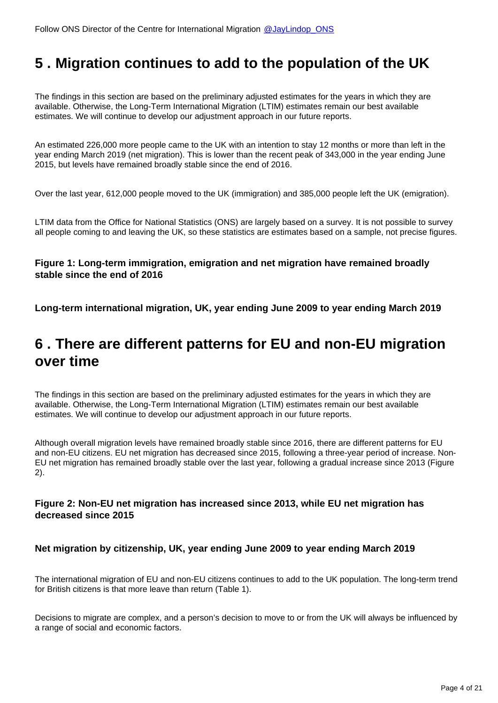## <span id="page-3-0"></span>**5 . Migration continues to add to the population of the UK**

The findings in this section are based on the preliminary adjusted estimates for the years in which they are available. Otherwise, the Long-Term International Migration (LTIM) estimates remain our best available estimates. We will continue to develop our adjustment approach in our future reports.

An estimated 226,000 more people came to the UK with an intention to stay 12 months or more than left in the year ending March 2019 (net migration). This is lower than the recent peak of 343,000 in the year ending June 2015, but levels have remained broadly stable since the end of 2016.

Over the last year, 612,000 people moved to the UK (immigration) and 385,000 people left the UK (emigration).

LTIM data from the Office for National Statistics (ONS) are largely based on a survey. It is not possible to survey all people coming to and leaving the UK, so these statistics are estimates based on a sample, not precise figures.

### **Figure 1: Long-term immigration, emigration and net migration have remained broadly stable since the end of 2016**

**Long-term international migration, UK, year ending June 2009 to year ending March 2019**

## <span id="page-3-1"></span>**6 . There are different patterns for EU and non-EU migration over time**

The findings in this section are based on the preliminary adjusted estimates for the years in which they are available. Otherwise, the Long-Term International Migration (LTIM) estimates remain our best available estimates. We will continue to develop our adjustment approach in our future reports.

Although overall migration levels have remained broadly stable since 2016, there are different patterns for EU and non-EU citizens. EU net migration has decreased since 2015, following a three-year period of increase. Non-EU net migration has remained broadly stable over the last year, following a gradual increase since 2013 (Figure 2).

### **Figure 2: Non-EU net migration has increased since 2013, while EU net migration has decreased since 2015**

### **Net migration by citizenship, UK, year ending June 2009 to year ending March 2019**

The international migration of EU and non-EU citizens continues to add to the UK population. The long-term trend for British citizens is that more leave than return (Table 1).

Decisions to migrate are complex, and a person's decision to move to or from the UK will always be influenced by a range of social and economic factors.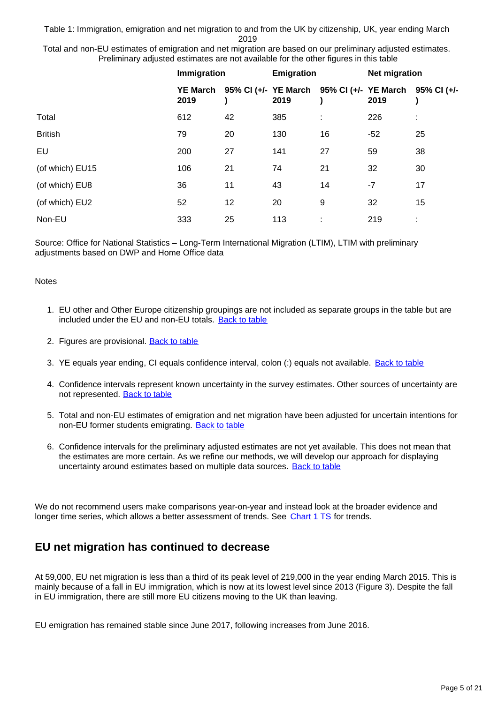Table 1: Immigration, emigration and net migration to and from the UK by citizenship, UK, year ending March 2019

Total and non-EU estimates of emigration and net migration are based on our preliminary adjusted estimates. Preliminary adjusted estimates are not available for the other figures in this table

|                 | Immigration             |                                                       | Emigration |    | <b>Net migration</b> |    |
|-----------------|-------------------------|-------------------------------------------------------|------------|----|----------------------|----|
|                 | <b>YE March</b><br>2019 | 95% CI (+/- YE March 95% CI (+/- YE March 95% CI (+/- | 2019       |    | 2019                 |    |
| Total           | 612                     | 42                                                    | 385        |    | 226                  | ÷  |
| <b>British</b>  | 79                      | 20                                                    | 130        | 16 | $-52$                | 25 |
| EU              | 200                     | 27                                                    | 141        | 27 | 59                   | 38 |
| (of which) EU15 | 106                     | 21                                                    | 74         | 21 | 32                   | 30 |
| (of which) EU8  | 36                      | 11                                                    | 43         | 14 | $-7$                 | 17 |
| (of which) EU2  | 52                      | 12                                                    | 20         | 9  | 32                   | 15 |
| Non-EU          | 333                     | 25                                                    | 113        | ٠  | 219                  | ٠  |

Source: Office for National Statistics – Long-Term International Migration (LTIM), LTIM with preliminary adjustments based on DWP and Home Office data

#### **Notes**

- 1. EU other and Other Europe citizenship groupings are not included as separate groups in the table but are included under the EU and non-EU totals. [Back to table](#page-0-0)
- 2. Figures are provisional. **[Back to table](#page-0-0)**
- 3. YE equals year ending, CI equals confidence interval, colon (:) equals not available. <u>[Back to table](#page-0-0)</u>
- 4. Confidence intervals represent known uncertainty in the survey estimates. Other sources of uncertainty are not represented. [Back to table](#page-0-0)
- 5. Total and non-EU estimates of emigration and net migration have been adjusted for uncertain intentions for non-EU former students emigrating. [Back to table](#page-0-0)
- 6. Confidence intervals for the preliminary adjusted estimates are not yet available. This does not mean that the estimates are more certain. As we refine our methods, we will develop our approach for displaying uncertainty around estimates based on multiple data sources. [Back to table](#page-0-0)

We do not recommend users make comparisons year-on-year and instead look at the broader evidence and longer time series, which allows a better assessment of trends. See [Chart 1 TS](https://www.ons.gov.uk/peoplepopulationandcommunity/populationandmigration/internationalmigration/datasets/migrationstatisticsquarterlyreportprovisionallongterminternationalmigrationltimestimates) for trends.

## **EU net migration has continued to decrease**

At 59,000, EU net migration is less than a third of its peak level of 219,000 in the year ending March 2015. This is mainly because of a fall in EU immigration, which is now at its lowest level since 2013 (Figure 3). Despite the fall in EU immigration, there are still more EU citizens moving to the UK than leaving.

EU emigration has remained stable since June 2017, following increases from June 2016.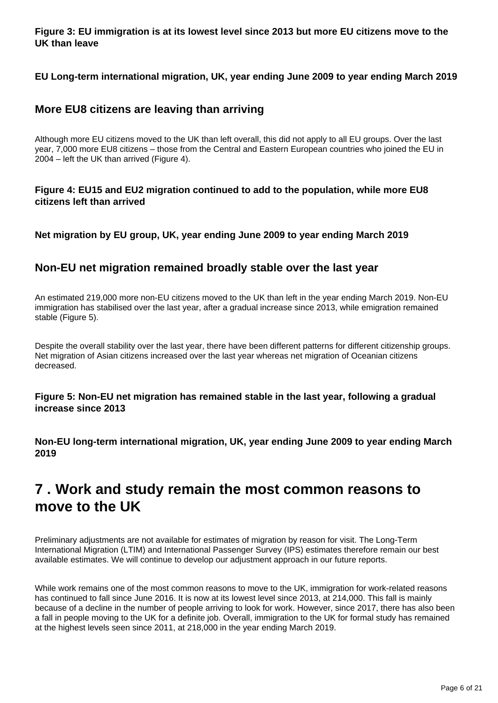**Figure 3: EU immigration is at its lowest level since 2013 but more EU citizens move to the UK than leave**

**EU Long-term international migration, UK, year ending June 2009 to year ending March 2019**

### **More EU8 citizens are leaving than arriving**

Although more EU citizens moved to the UK than left overall, this did not apply to all EU groups. Over the last year, 7,000 more EU8 citizens – those from the Central and Eastern European countries who joined the EU in 2004 – left the UK than arrived (Figure 4).

**Figure 4: EU15 and EU2 migration continued to add to the population, while more EU8 citizens left than arrived**

**Net migration by EU group, UK, year ending June 2009 to year ending March 2019**

### **Non-EU net migration remained broadly stable over the last year**

An estimated 219,000 more non-EU citizens moved to the UK than left in the year ending March 2019. Non-EU immigration has stabilised over the last year, after a gradual increase since 2013, while emigration remained stable (Figure 5).

Despite the overall stability over the last year, there have been different patterns for different citizenship groups. Net migration of Asian citizens increased over the last year whereas net migration of Oceanian citizens decreased.

**Figure 5: Non-EU net migration has remained stable in the last year, following a gradual increase since 2013**

**Non-EU long-term international migration, UK, year ending June 2009 to year ending March 2019**

## <span id="page-5-0"></span>**7 . Work and study remain the most common reasons to move to the UK**

Preliminary adjustments are not available for estimates of migration by reason for visit. The Long-Term International Migration (LTIM) and International Passenger Survey (IPS) estimates therefore remain our best available estimates. We will continue to develop our adjustment approach in our future reports.

While work remains one of the most common reasons to move to the UK, immigration for work-related reasons has continued to fall since June 2016. It is now at its lowest level since 2013, at 214,000. This fall is mainly because of a decline in the number of people arriving to look for work. However, since 2017, there has also been a fall in people moving to the UK for a definite job. Overall, immigration to the UK for formal study has remained at the highest levels seen since 2011, at 218,000 in the year ending March 2019.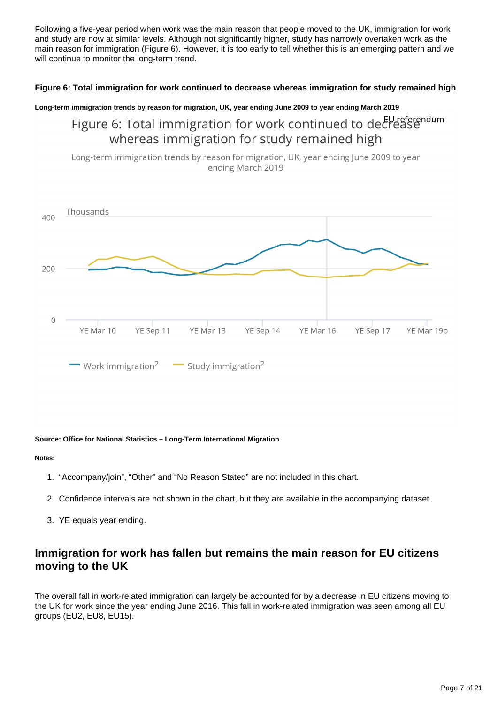Following a five-year period when work was the main reason that people moved to the UK, immigration for work and study are now at similar levels. Although not significantly higher, study has narrowly overtaken work as the main reason for immigration (Figure 6). However, it is too early to tell whether this is an emerging pattern and we will continue to monitor the long-term trend.

### **Figure 6: Total immigration for work continued to decrease whereas immigration for study remained high**

### **Long-term immigration trends by reason for migration, UK, year ending June 2009 to year ending March 2019**

Figure 6: Total immigration for work continued to declease whereas immigration for study remained high

Long-term immigration trends by reason for migration, UK, year ending June 2009 to year ending March 2019



#### **Source: Office for National Statistics – Long-Term International Migration**

#### **Notes:**

- 1. "Accompany/join", "Other" and "No Reason Stated" are not included in this chart.
- 2. Confidence intervals are not shown in the chart, but they are available in the accompanying dataset.
- 3. YE equals year ending.

### **Immigration for work has fallen but remains the main reason for EU citizens moving to the UK**

The overall fall in work-related immigration can largely be accounted for by a decrease in EU citizens moving to the UK for work since the year ending June 2016. This fall in work-related immigration was seen among all EU groups (EU2, EU8, EU15).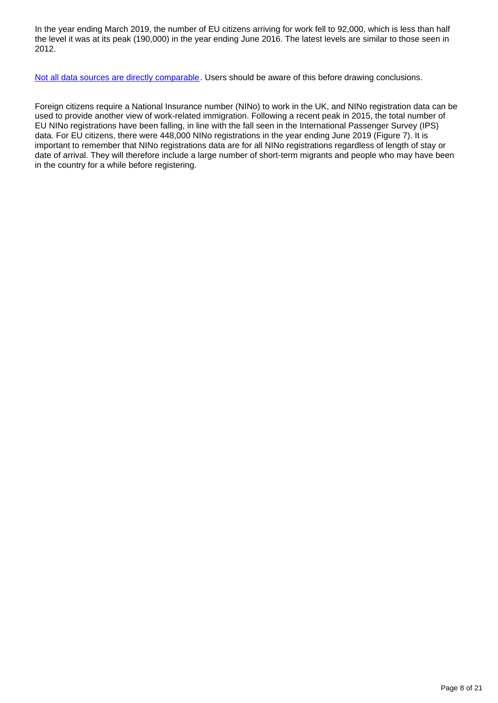In the year ending March 2019, the number of EU citizens arriving for work fell to 92,000, which is less than half the level it was at its peak (190,000) in the year ending June 2016. The latest levels are similar to those seen in 2012.

[Not all data sources are directly comparable](https://www.ons.gov.uk/peoplepopulationandcommunity/populationandmigration/internationalmigration/articles/comparingsourcesofinternationalmigrationstatistics/december2016). Users should be aware of this before drawing conclusions.

Foreign citizens require a National Insurance number (NINo) to work in the UK, and NINo registration data can be used to provide another view of work-related immigration. Following a recent peak in 2015, the total number of EU NINo registrations have been falling, in line with the fall seen in the International Passenger Survey (IPS) data. For EU citizens, there were 448,000 NINo registrations in the year ending June 2019 (Figure 7). It is important to remember that NINo registrations data are for all NINo registrations regardless of length of stay or date of arrival. They will therefore include a large number of short-term migrants and people who may have been in the country for a while before registering.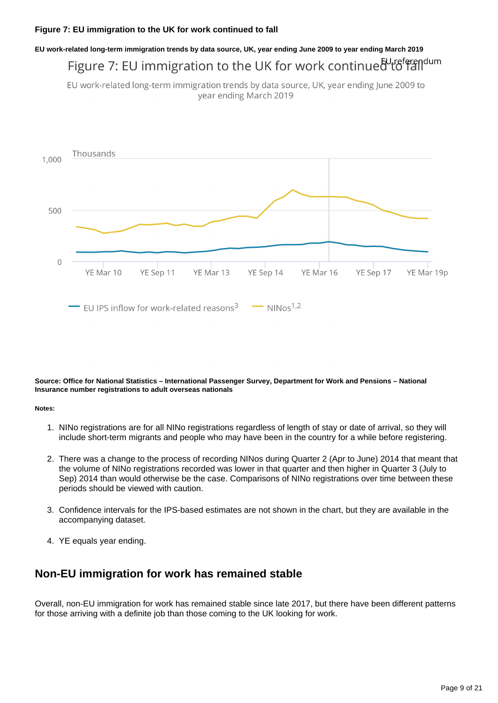## **EU work-related long-term immigration trends by data source, UK, year ending June 2009 to year ending March 2019** Figure 7: EU immigration to the UK for work continued to falldum

EU work-related long-term immigration trends by data source, UK, year ending June 2009 to year ending March 2019



**Source: Office for National Statistics – International Passenger Survey, Department for Work and Pensions – National Insurance number registrations to adult overseas nationals**

#### **Notes:**

- 1. NINo registrations are for all NINo registrations regardless of length of stay or date of arrival, so they will include short-term migrants and people who may have been in the country for a while before registering.
- 2. There was a change to the process of recording NINos during Quarter 2 (Apr to June) 2014 that meant that the volume of NINo registrations recorded was lower in that quarter and then higher in Quarter 3 (July to Sep) 2014 than would otherwise be the case. Comparisons of NINo registrations over time between these periods should be viewed with caution.
- 3. Confidence intervals for the IPS-based estimates are not shown in the chart, but they are available in the accompanying dataset.
- 4. YE equals year ending.

### **Non-EU immigration for work has remained stable**

Overall, non-EU immigration for work has remained stable since late 2017, but there have been different patterns for those arriving with a definite job than those coming to the UK looking for work.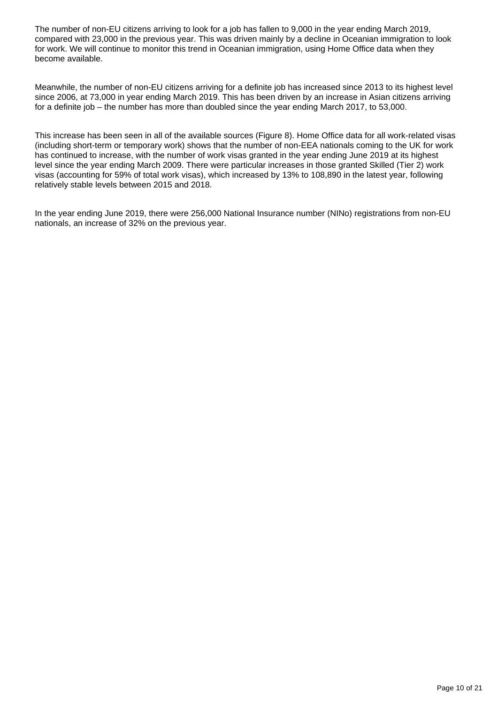The number of non-EU citizens arriving to look for a job has fallen to 9,000 in the year ending March 2019, compared with 23,000 in the previous year. This was driven mainly by a decline in Oceanian immigration to look for work. We will continue to monitor this trend in Oceanian immigration, using Home Office data when they become available.

Meanwhile, the number of non-EU citizens arriving for a definite job has increased since 2013 to its highest level since 2006, at 73,000 in year ending March 2019. This has been driven by an increase in Asian citizens arriving for a definite job – the number has more than doubled since the year ending March 2017, to 53,000.

This increase has been seen in all of the available sources (Figure 8). Home Office data for all work-related visas (including short-term or temporary work) shows that the number of non-EEA nationals coming to the UK for work has continued to increase, with the number of work visas granted in the year ending June 2019 at its highest level since the year ending March 2009. There were particular increases in those granted Skilled (Tier 2) work visas (accounting for 59% of total work visas), which increased by 13% to 108,890 in the latest year, following relatively stable levels between 2015 and 2018.

In the year ending June 2019, there were 256,000 National Insurance number (NINo) registrations from non-EU nationals, an increase of 32% on the previous year.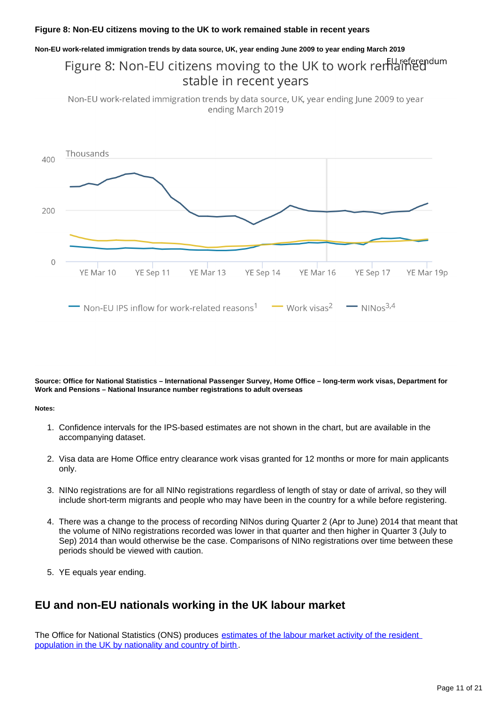#### **Figure 8: Non-EU citizens moving to the UK to work remained stable in recent years**

#### **Non-EU work-related immigration trends by data source, UK, year ending June 2009 to year ending March 2019**

## Figure 8: Non-EU citizens moving to the UK to work remained stable in recent years

Non-EU work-related immigration trends by data source, UK, year ending June 2009 to year ending March 2019



**Source: Office for National Statistics – International Passenger Survey, Home Office – long-term work visas, Department for Work and Pensions – National Insurance number registrations to adult overseas**

#### **Notes:**

- 1. Confidence intervals for the IPS-based estimates are not shown in the chart, but are available in the accompanying dataset.
- 2. Visa data are Home Office entry clearance work visas granted for 12 months or more for main applicants only.
- 3. NINo registrations are for all NINo registrations regardless of length of stay or date of arrival, so they will include short-term migrants and people who may have been in the country for a while before registering.
- 4. There was a change to the process of recording NINos during Quarter 2 (Apr to June) 2014 that meant that the volume of NINo registrations recorded was lower in that quarter and then higher in Quarter 3 (July to Sep) 2014 than would otherwise be the case. Comparisons of NINo registrations over time between these periods should be viewed with caution.
- 5. YE equals year ending.

### **EU and non-EU nationals working in the UK labour market**

The Office for National Statistics (ONS) produces [estimates of the labour market activity of the resident](https://www.ons.gov.uk/employmentandlabourmarket/peopleinwork/employmentandemployeetypes/articles/ukandnonukpeopleinthelabourmarket/latest)  [population in the UK by nationality and country of birth.](https://www.ons.gov.uk/employmentandlabourmarket/peopleinwork/employmentandemployeetypes/articles/ukandnonukpeopleinthelabourmarket/latest)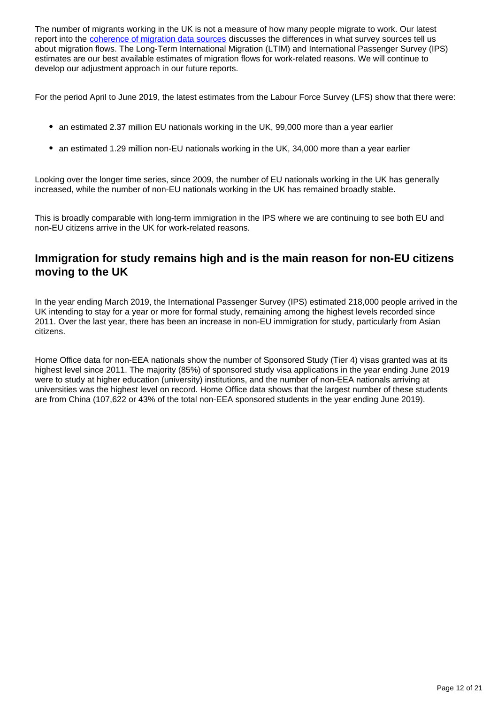The number of migrants working in the UK is not a measure of how many people migrate to work. Our latest report into the [coherence of migration data sources](https://www.ons.gov.uk/peoplepopulationandcommunity/populationandmigration/internationalmigration/articles/understandingdifferentmigrationdatasources/augustprogressreport) discusses the differences in what survey sources tell us about migration flows. The Long-Term International Migration (LTIM) and International Passenger Survey (IPS) estimates are our best available estimates of migration flows for work-related reasons. We will continue to develop our adjustment approach in our future reports.

For the period April to June 2019, the latest estimates from the Labour Force Survey (LFS) show that there were:

- an estimated 2.37 million EU nationals working in the UK, 99,000 more than a year earlier
- an estimated 1.29 million non-EU nationals working in the UK, 34,000 more than a year earlier

Looking over the longer time series, since 2009, the number of EU nationals working in the UK has generally increased, while the number of non-EU nationals working in the UK has remained broadly stable.

This is broadly comparable with long-term immigration in the IPS where we are continuing to see both EU and non-EU citizens arrive in the UK for work-related reasons.

### **Immigration for study remains high and is the main reason for non-EU citizens moving to the UK**

In the year ending March 2019, the International Passenger Survey (IPS) estimated 218,000 people arrived in the UK intending to stay for a year or more for formal study, remaining among the highest levels recorded since 2011. Over the last year, there has been an increase in non-EU immigration for study, particularly from Asian citizens.

Home Office data for non-EEA nationals show the number of Sponsored Study (Tier 4) visas granted was at its highest level since 2011. The majority (85%) of sponsored study visa applications in the year ending June 2019 were to study at higher education (university) institutions, and the number of non-EEA nationals arriving at universities was the highest level on record. Home Office data shows that the largest number of these students are from China (107,622 or 43% of the total non-EEA sponsored students in the year ending June 2019).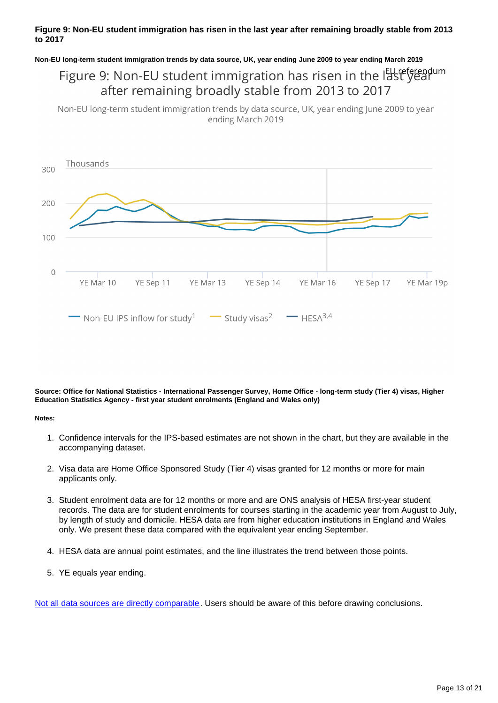### **Figure 9: Non-EU student immigration has risen in the last year after remaining broadly stable from 2013 to 2017**

#### **Non-EU long-term student immigration trends by data source, UK, year ending June 2009 to year ending March 2019**

## Figure 9: Non-EU student immigration has risen in the last year after remaining broadly stable from 2013 to 2017

Non-EU long-term student immigration trends by data source, UK, year ending June 2009 to year ending March 2019



**Source: Office for National Statistics - International Passenger Survey, Home Office - long-term study (Tier 4) visas, Higher Education Statistics Agency - first year student enrolments (England and Wales only)**

#### **Notes:**

- 1. Confidence intervals for the IPS-based estimates are not shown in the chart, but they are available in the accompanying dataset.
- 2. Visa data are Home Office Sponsored Study (Tier 4) visas granted for 12 months or more for main applicants only.
- 3. Student enrolment data are for 12 months or more and are ONS analysis of HESA first-year student records. The data are for student enrolments for courses starting in the academic year from August to July, by length of study and domicile. HESA data are from higher education institutions in England and Wales only. We present these data compared with the equivalent year ending September.
- 4. HESA data are annual point estimates, and the line illustrates the trend between those points.
- 5. YE equals year ending.

[Not all data sources are directly comparable](https://www.ons.gov.uk/peoplepopulationandcommunity/populationandmigration/internationalmigration/articles/comparingsourcesofinternationalmigrationstatistics/december2016). Users should be aware of this before drawing conclusions.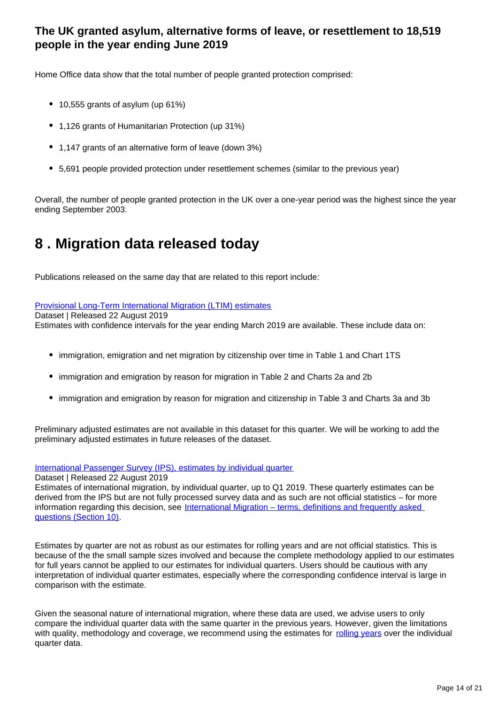## **The UK granted asylum, alternative forms of leave, or resettlement to 18,519 people in the year ending June 2019**

Home Office data show that the total number of people granted protection comprised:

- 10,555 grants of asylum (up 61%)
- 1,126 grants of Humanitarian Protection (up 31%)
- 1,147 grants of an alternative form of leave (down 3%)
- 5,691 people provided protection under resettlement schemes (similar to the previous year)

Overall, the number of people granted protection in the UK over a one-year period was the highest since the year ending September 2003.

## <span id="page-13-0"></span>**8 . Migration data released today**

Publications released on the same day that are related to this report include:

### [Provisional Long-Term International Migration \(LTIM\) estimates](https://www.ons.gov.uk/peoplepopulationandcommunity/populationandmigration/internationalmigration/datasets/migrationstatisticsquarterlyreportprovisionallongterminternationalmigrationltimestimates)

Dataset | Released 22 August 2019

Estimates with confidence intervals for the year ending March 2019 are available. These include data on:

- immigration, emigration and net migration by citizenship over time in Table 1 and Chart 1TS
- immigration and emigration by reason for migration in Table 2 and Charts 2a and 2b
- immigration and emigration by reason for migration and citizenship in Table 3 and Charts 3a and 3b

Preliminary adjusted estimates are not available in this dataset for this quarter. We will be working to add the preliminary adjusted estimates in future releases of the dataset.

[International Passenger Survey \(IPS\), estimates by individual quarter](https://www.ons.gov.uk/peoplepopulationandcommunity/populationandmigration/internationalmigration/datasets/estimatesoflongterminternationalmigrationbyquarterderivedfromtheinternationalpassengersurvey)

Dataset | Released 22 August 2019

Estimates of international migration, by individual quarter, up to Q1 2019. These quarterly estimates can be derived from the IPS but are not fully processed survey data and as such are not official statistics – for more information regarding this decision, see International Migration – terms, definitions and frequently asked [questions \(Section 10\)](https://www.ons.gov.uk/peoplepopulationandcommunity/populationandmigration/internationalmigration/methodologies/longterminternationalmigrationfrequentlyaskedquestionsandbackgroundnotes#why-have-the-individual-quarter-estimates-been-labelled-as-not-official-statistics).

Estimates by quarter are not as robust as our estimates for rolling years and are not official statistics. This is because of the the small sample sizes involved and because the complete methodology applied to our estimates for full years cannot be applied to our estimates for individual quarters. Users should be cautious with any interpretation of individual quarter estimates, especially where the corresponding confidence interval is large in comparison with the estimate.

Given the seasonal nature of international migration, where these data are used, we advise users to only compare the individual quarter data with the same quarter in the previous years. However, given the limitations with quality, methodology and coverage, we recommend using the estimates for [rolling years](https://www.ons.gov.uk/peoplepopulationandcommunity/populationandmigration/internationalmigration/datasets/migrationstatisticsquarterlyreportprovisionallongterminternationalmigrationltimestimates) over the individual quarter data.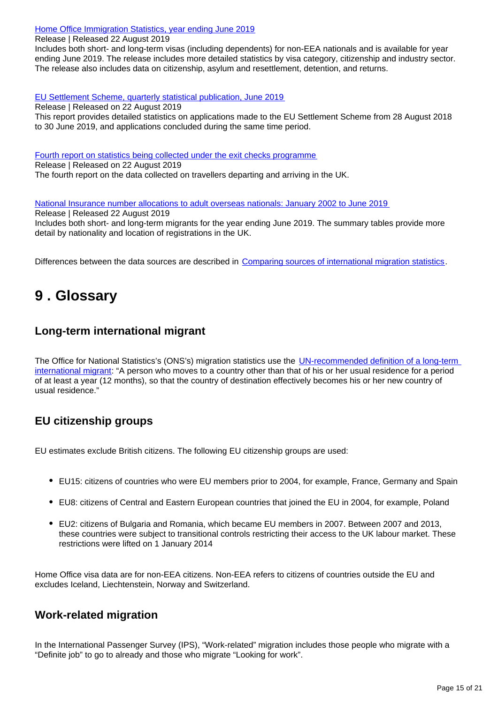[Home Office Immigration Statistics, year ending June 2019](https://www.gov.uk/government/statistics/immigration-statistics-year-ending-june-2019)

Release | Released 22 August 2019

Includes both short- and long-term visas (including dependents) for non-EEA nationals and is available for year ending June 2019. The release includes more detailed statistics by visa category, citizenship and industry sector. The release also includes data on citizenship, asylum and resettlement, detention, and returns.

[EU Settlement Scheme, quarterly statistical publication, June 2019](https://www.gov.uk/government/statistics/eu-settlement-scheme-quarterly-statistics-june-2019)

Release | Released on 22 August 2019 This report provides detailed statistics on applications made to the EU Settlement Scheme from 28 August 2018 to 30 June 2019, and applications concluded during the same time period.

[Fourth report on statistics being collected under the exit checks programme](https://www.gov.uk/government/statistics/fourth-report-on-statistics-being-collected-under-the-exit-checks-programme)

Release | Released on 22 August 2019 The fourth report on the data collected on travellers departing and arriving in the UK.

[National Insurance number allocations to adult overseas nationals: January 2002 to June 2019](https://www.gov.uk/government/collections/national-insurance-number-allocations-to-adult-overseas-nationals-entering-the-uk) Release | Released 22 August 2019

Includes both short- and long-term migrants for the year ending June 2019. The summary tables provide more detail by nationality and location of registrations in the UK.

Differences between the data sources are described in [Comparing sources of international migration statistics](https://www.ons.gov.uk/peoplepopulationandcommunity/populationandmigration/internationalmigration/articles/comparingsourcesofinternationalmigrationstatistics/december2016).

## <span id="page-14-0"></span>**9 . Glossary**

## **Long-term international migrant**

The Office for National Statistics's (ONS's) migration statistics use the UN-recommended definition of a long-term [international migrant](http://data.un.org/Glossary.aspx?q=long-term%20migrant): "A person who moves to a country other than that of his or her usual residence for a period of at least a year (12 months), so that the country of destination effectively becomes his or her new country of usual residence."

## **EU citizenship groups**

EU estimates exclude British citizens. The following EU citizenship groups are used:

- EU15: citizens of countries who were EU members prior to 2004, for example, France, Germany and Spain
- EU8: citizens of Central and Eastern European countries that joined the EU in 2004, for example, Poland
- EU2: citizens of Bulgaria and Romania, which became EU members in 2007. Between 2007 and 2013, these countries were subject to transitional controls restricting their access to the UK labour market. These restrictions were lifted on 1 January 2014

Home Office visa data are for non-EEA citizens. Non-EEA refers to citizens of countries outside the EU and excludes Iceland, Liechtenstein, Norway and Switzerland.

## **Work-related migration**

In the International Passenger Survey (IPS), "Work-related" migration includes those people who migrate with a "Definite job" to go to already and those who migrate "Looking for work".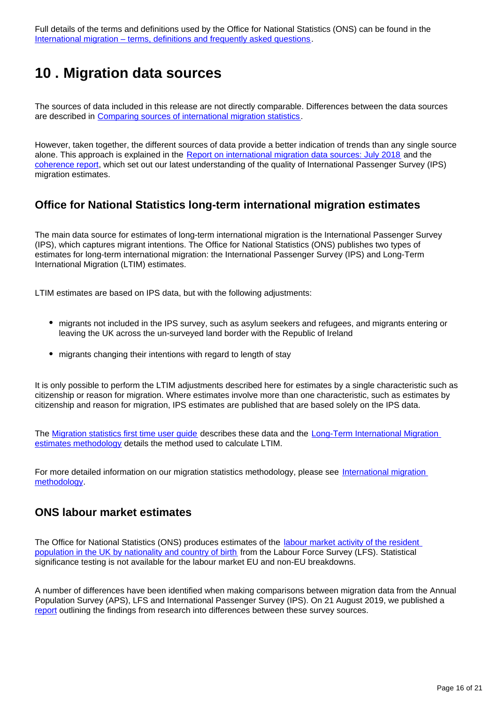Full details of the terms and definitions used by the Office for National Statistics (ONS) can be found in the [International migration – terms, definitions and frequently asked questions](https://www.ons.gov.uk/peoplepopulationandcommunity/populationandmigration/internationalmigration/methodologies/longterminternationalmigrationfrequentlyaskedquestionsandbackgroundnotes).

## <span id="page-15-0"></span>**10 . Migration data sources**

The sources of data included in this release are not directly comparable. Differences between the data sources are described in [Comparing sources of international migration statistics.](https://www.ons.gov.uk/peoplepopulationandcommunity/populationandmigration/internationalmigration/articles/comparingsourcesofinternationalmigrationstatistics/december2016)

However, taken together, the different sources of data provide a better indication of trends than any single source alone. This approach is explained in the [Report on international migration data sources: July 2018](https://www.ons.gov.uk/peoplepopulationandcommunity/populationandmigration/internationalmigration/articles/reportonthecomplexityandqualityofinternationalmigrationstatistics/july2018) and the [coherence report](https://www.ons.gov.uk/peoplepopulationandcommunity/populationandmigration/internationalmigration/articles/understandingdifferentmigrationdatasources/augustprogressreport), which set out our latest understanding of the quality of International Passenger Survey (IPS) migration estimates.

### **Office for National Statistics long-term international migration estimates**

The main data source for estimates of long-term international migration is the International Passenger Survey (IPS), which captures migrant intentions. The Office for National Statistics (ONS) publishes two types of estimates for long-term international migration: the International Passenger Survey (IPS) and Long-Term International Migration (LTIM) estimates.

LTIM estimates are based on IPS data, but with the following adjustments:

- migrants not included in the IPS survey, such as asylum seekers and refugees, and migrants entering or leaving the UK across the un-surveyed land border with the Republic of Ireland
- migrants changing their intentions with regard to length of stay

It is only possible to perform the LTIM adjustments described here for estimates by a single characteristic such as citizenship or reason for migration. Where estimates involve more than one characteristic, such as estimates by citizenship and reason for migration, IPS estimates are published that are based solely on the IPS data.

The [Migration statistics first time user guide](https://www.ons.gov.uk/peoplepopulationandcommunity/populationandmigration/internationalmigration/methodologies/migrationstatisticsfirsttimeuserguideglossaryandlistofproducts) describes these data and the [Long-Term International Migration](https://www.ons.gov.uk/peoplepopulationandcommunity/populationandmigration/internationalmigration/methodologies/longterminternationalmigrationestimatesmethodology)  [estimates methodology](https://www.ons.gov.uk/peoplepopulationandcommunity/populationandmigration/internationalmigration/methodologies/longterminternationalmigrationestimatesmethodology) details the method used to calculate LTIM.

For more detailed information on our migration statistics methodology, please see [International migration](https://www.ons.gov.uk/peoplepopulationandcommunity/populationandmigration/internationalmigration/methodologies/internationalmigrationmethodology)  [methodology.](https://www.ons.gov.uk/peoplepopulationandcommunity/populationandmigration/internationalmigration/methodologies/internationalmigrationmethodology)

### **ONS labour market estimates**

The Office for National Statistics (ONS) produces estimates of the labour market activity of the resident [population in the UK by nationality and country of birth](https://www.ons.gov.uk/employmentandlabourmarket/peopleinwork/employmentandemployeetypes/articles/ukandnonukpeopleinthelabourmarket/latest) from the Labour Force Survey (LFS). Statistical significance testing is not available for the labour market EU and non-EU breakdowns.

A number of differences have been identified when making comparisons between migration data from the Annual Population Survey (APS), LFS and International Passenger Survey (IPS). On 21 August 2019, we published a [report](https://www.ons.gov.uk/peoplepopulationandcommunity/populationandmigration/internationalmigration/articles/understandingdifferentmigrationdatasources/augustprogressreport) outlining the findings from research into differences between these survey sources.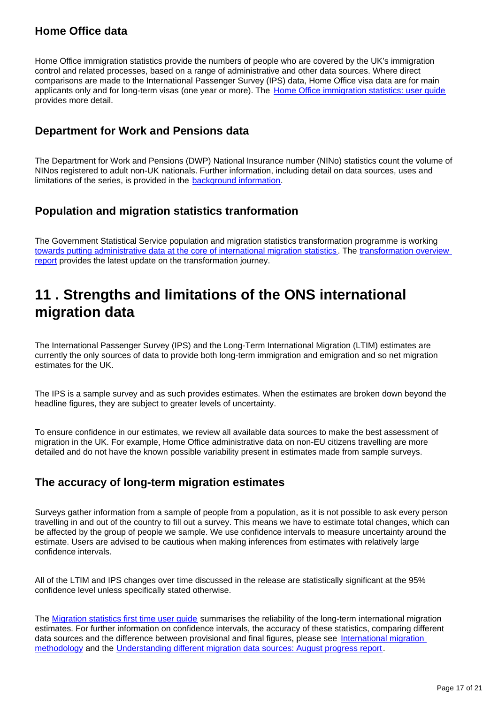## **Home Office data**

Home Office immigration statistics provide the numbers of people who are covered by the UK's immigration control and related processes, based on a range of administrative and other data sources. Where direct comparisons are made to the International Passenger Survey (IPS) data, Home Office visa data are for main applicants only and for long-term visas (one year or more). The [Home Office immigration statistics: user guide](https://www.gov.uk/government/publications/user-guide-to-home-office-immigration-statistics--9) provides more detail.

## **Department for Work and Pensions data**

The Department for Work and Pensions (DWP) National Insurance number (NINo) statistics count the volume of NINos registered to adult non-UK nationals. Further information, including detail on data sources, uses and limitations of the series, is provided in the [background information.](https://www.gov.uk/government/statistics/nino-allocations-to-adult-overseas-nationals-entering-the-uk-background-information)

## **Population and migration statistics tranformation**

The Government Statistical Service population and migration statistics transformation programme is working [towards putting administrative data at the core of international migration statistics](https://www.ons.gov.uk/peoplepopulationandcommunity/populationandmigration/internationalmigration/articles/migrationstatisticstransformationupdate/2018-05-24). The transformation overview [report](https://www.ons.gov.uk/peoplepopulationandcommunity/populationandmigration/internationalmigration/articles/transformationofthepopulationandmigrationstatisticssystemoverview/2019-06-21) provides the latest update on the transformation journey.

## <span id="page-16-0"></span>**11 . Strengths and limitations of the ONS international migration data**

The International Passenger Survey (IPS) and the Long-Term International Migration (LTIM) estimates are currently the only sources of data to provide both long-term immigration and emigration and so net migration estimates for the UK.

The IPS is a sample survey and as such provides estimates. When the estimates are broken down beyond the headline figures, they are subject to greater levels of uncertainty.

To ensure confidence in our estimates, we review all available data sources to make the best assessment of migration in the UK. For example, Home Office administrative data on non-EU citizens travelling are more detailed and do not have the known possible variability present in estimates made from sample surveys.

## **The accuracy of long-term migration estimates**

Surveys gather information from a sample of people from a population, as it is not possible to ask every person travelling in and out of the country to fill out a survey. This means we have to estimate total changes, which can be affected by the group of people we sample. We use confidence intervals to measure uncertainty around the estimate. Users are advised to be cautious when making inferences from estimates with relatively large confidence intervals.

All of the LTIM and IPS changes over time discussed in the release are statistically significant at the 95% confidence level unless specifically stated otherwise.

The [Migration statistics first time user guide](https://www.ons.gov.uk/peoplepopulationandcommunity/populationandmigration/internationalmigration/methodologies/migrationstatisticsfirsttimeuserguideglossaryandlistofproducts) summarises the reliability of the long-term international migration estimates. For further information on confidence intervals, the accuracy of these statistics, comparing different data sources and the difference between provisional and final figures, please see International migration [methodology](https://www.ons.gov.uk/peoplepopulationandcommunity/populationandmigration/internationalmigration/methodologies/internationalmigrationmethodology) and the [Understanding different migration data sources: August progress report.](https://www.ons.gov.uk/peoplepopulationandcommunity/populationandmigration/internationalmigration/articles/understandingdifferentmigrationdatasources/augustprogressreport)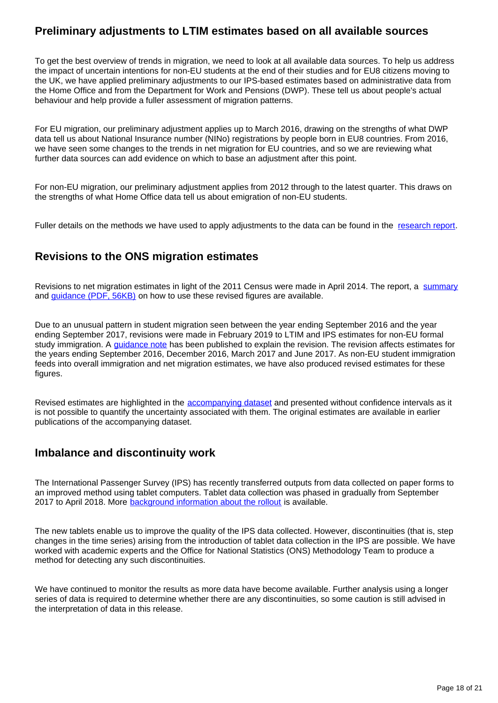## **Preliminary adjustments to LTIM estimates based on all available sources**

To get the best overview of trends in migration, we need to look at all available data sources. To help us address the impact of uncertain intentions for non-EU students at the end of their studies and for EU8 citizens moving to the UK, we have applied preliminary adjustments to our IPS-based estimates based on administrative data from the Home Office and from the Department for Work and Pensions (DWP). These tell us about people's actual behaviour and help provide a fuller assessment of migration patterns.

For EU migration, our preliminary adjustment applies up to March 2016, drawing on the strengths of what DWP data tell us about National Insurance number (NINo) registrations by people born in EU8 countries. From 2016, we have seen some changes to the trends in net migration for EU countries, and so we are reviewing what further data sources can add evidence on which to base an adjustment after this point.

For non-EU migration, our preliminary adjustment applies from 2012 through to the latest quarter. This draws on the strengths of what Home Office data tell us about emigration of non-EU students.

Fuller details on the methods we have used to apply adjustments to the data can be found in the [research report.](https://www.ons.gov.uk/peoplepopulationandcommunity/populationandmigration/internationalmigration/articles/understandingdifferentmigrationdatasources/augustprogressreport)

## **Revisions to the ONS migration estimates**

Revisions to net migration estimates in light of the 2011 Census were made in April 2014. The report, a [summary](http://webarchive.nationalarchives.gov.uk/20160106010424/http:/www.ons.gov.uk/ons/rel/migration1/long-term-international-migration/quality-of-long-term-international-migration-estimates-from-2001-to-2011/index.html) and *guidance* (PDF, 56KB) on how to use these revised figures are available.

Due to an unusual pattern in student migration seen between the year ending September 2016 and the year ending September 2017, revisions were made in February 2019 to LTIM and IPS estimates for non-EU formal study immigration. A [guidance note](https://www.ons.gov.uk/peoplepopulationandcommunity/populationandmigration/internationalmigration/methodologies/guidancenoteforrevisingofficiallongtermnoneustudentmigrationestimatesyearendingseptember2016) has been published to explain the revision. The revision affects estimates for the years ending September 2016, December 2016, March 2017 and June 2017. As non-EU student immigration feeds into overall immigration and net migration estimates, we have also produced revised estimates for these figures.

Revised estimates are highlighted in the [accompanying dataset](https://www.ons.gov.uk/peoplepopulationandcommunity/populationandmigration/internationalmigration/datasets/migrationstatisticsquarterlyreportprovisionallongterminternationalmigrationltimestimates) and presented without confidence intervals as it is not possible to quantify the uncertainty associated with them. The original estimates are available in earlier publications of the accompanying dataset.

## **Imbalance and discontinuity work**

The International Passenger Survey (IPS) has recently transferred outputs from data collected on paper forms to an improved method using tablet computers. Tablet data collection was phased in gradually from September 2017 to April 2018. More [background information about the rollout](https://www.ons.gov.uk/peoplepopulationandcommunity/leisureandtourism/articles/traveltrends2017recentdatacollectionchangesandplannedmethodologicalchanges/2018-07-20) is available.

The new tablets enable us to improve the quality of the IPS data collected. However, discontinuities (that is, step changes in the time series) arising from the introduction of tablet data collection in the IPS are possible. We have worked with academic experts and the Office for National Statistics (ONS) Methodology Team to produce a method for detecting any such discontinuities.

We have continued to monitor the results as more data have become available. Further analysis using a longer series of data is required to determine whether there are any discontinuities, so some caution is still advised in the interpretation of data in this release.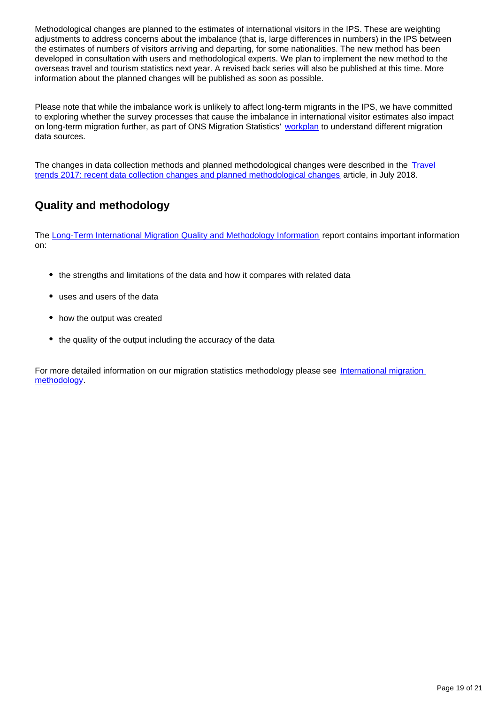Methodological changes are planned to the estimates of international visitors in the IPS. These are weighting adjustments to address concerns about the imbalance (that is, large differences in numbers) in the IPS between the estimates of numbers of visitors arriving and departing, for some nationalities. The new method has been developed in consultation with users and methodological experts. We plan to implement the new method to the overseas travel and tourism statistics next year. A revised back series will also be published at this time. More information about the planned changes will be published as soon as possible.

Please note that while the imbalance work is unlikely to affect long-term migrants in the IPS, we have committed to exploring whether the survey processes that cause the imbalance in international visitor estimates also impact on long-term migration further, as part of ONS Migration Statistics' [workplan](https://www.ons.gov.uk/peoplepopulationandcommunity/populationandmigration/internationalmigration/articles/understandingdifferentmigrationdatasourcesaworkplan/february2019) to understand different migration data sources.

The changes in data collection methods and planned methodological changes were described in the Travel [trends 2017: recent data collection changes and planned methodological changes](https://www.ons.gov.uk/peoplepopulationandcommunity/leisureandtourism/articles/traveltrends2017recentdatacollectionchangesandplannedmethodologicalchanges/2018-07-20) article, in July 2018.

## **Quality and methodology**

The [Long-Term International Migration Quality and Methodology Information](https://www.ons.gov.uk/peoplepopulationandcommunity/populationandmigration/populationestimates/methodologies/longterminternationalmigrationqmi) report contains important information on:

- the strengths and limitations of the data and how it compares with related data
- uses and users of the data
- how the output was created
- the quality of the output including the accuracy of the data

For more detailed information on our migration statistics methodology please see International migration [methodology.](https://www.ons.gov.uk/peoplepopulationandcommunity/populationandmigration/internationalmigration/methodologies/internationalmigrationmethodology)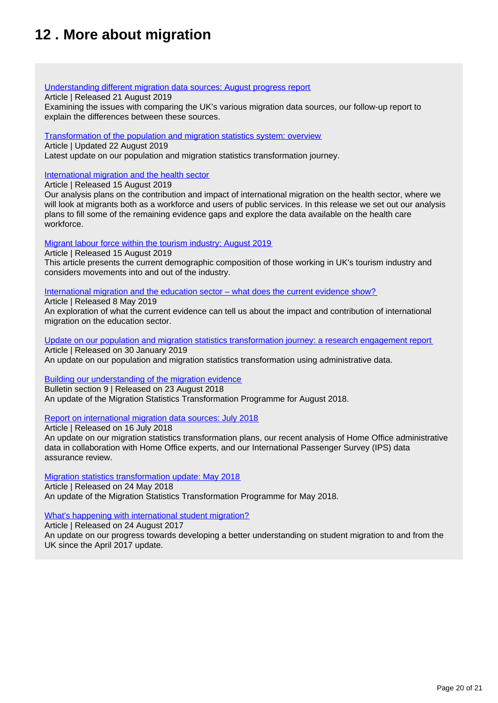## <span id="page-19-0"></span>**12 . More about migration**

#### [Understanding different migration data sources: August progress report](https://www.ons.gov.uk/peoplepopulationandcommunity/populationandmigration/internationalmigration/articles/understandingdifferentmigrationdatasources/augustprogressreport)

#### Article | Released 21 August 2019

Examining the issues with comparing the UK's various migration data sources, our follow-up report to explain the differences between these sources.

#### [Transformation of the population and migration statistics system: overview](https://www.ons.gov.uk/peoplepopulationandcommunity/populationandmigration/internationalmigration/articles/transformationofthepopulationandmigrationstatisticssystemoverview/2019-06-21)

Article | Updated 22 August 2019

Latest update on our population and migration statistics transformation journey.

#### [International migration and the health sector](https://www.ons.gov.uk/releases/internationalmigrationandthehealthsector)

Article | Released 15 August 2019

Our analysis plans on the contribution and impact of international migration on the health sector, where we will look at migrants both as a workforce and users of public services. In this release we set out our analysis plans to fill some of the remaining evidence gaps and explore the data available on the health care workforce.

#### [Migrant labour force within the tourism industry: August 2019](https://www.ons.gov.uk/peoplepopulationandcommunity/populationandmigration/internationalmigration/articles/migrantlabourforcewithinthetourismindustry/august2019)

Article | Released 15 August 2019 This article presents the current demographic composition of those working in UK's tourism industry and considers movements into and out of the industry.

#### [International migration and the education sector – what does the current evidence show?](https://www.ons.gov.uk/peoplepopulationandcommunity/populationandmigration/internationalmigration/articles/internationalmigrationandtheeducationsectorwhatdoesthecurrentevidenceshow/2019-05-03)

Article | Released 8 May 2019

An exploration of what the current evidence can tell us about the impact and contribution of international migration on the education sector.

[Update on our population and migration statistics transformation journey: a research engagement report](https://www.ons.gov.uk/peoplepopulationandcommunity/populationandmigration/internationalmigration/articles/updateonourpopulationandmigrationstatisticstransformationjourneyaresearchengagementreport/2019-01-30) Article | Released on 30 January 2019

An update on our population and migration statistics transformation using administrative data.

### [Building our understanding of the migration evidence](https://www.ons.gov.uk/peoplepopulationandcommunity/populationandmigration/internationalmigration/bulletins/migrationstatisticsquarterlyreport/august2018#building-our-understanding-of-the-migration-evidence)

Bulletin section 9 | Released on 23 August 2018 An update of the Migration Statistics Transformation Programme for August 2018.

### [Report on international migration data sources: July 2018](https://www.ons.gov.uk/peoplepopulationandcommunity/populationandmigration/internationalmigration/articles/reportonthecomplexityandqualityofinternationalmigrationstatistics/july2018)

Article | Released on 16 July 2018

An update on our migration statistics transformation plans, our recent analysis of Home Office administrative data in collaboration with Home Office experts, and our International Passenger Survey (IPS) data assurance review.

### [Migration statistics transformation update: May 2018](https://www.ons.gov.uk/peoplepopulationandcommunity/populationandmigration/internationalmigration/articles/migrationstatisticstransformationupdate/2018-05-24)

Article | Released on 24 May 2018 An update of the Migration Statistics Transformation Programme for May 2018.

### [What's happening with international student migration?](https://www.ons.gov.uk/peoplepopulationandcommunity/populationandmigration/internationalmigration/articles/whatshappeningwithinternationalstudentmigration/2017-08-24)

Article | Released on 24 August 2017

An update on our progress towards developing a better understanding on student migration to and from the UK since the April 2017 update.